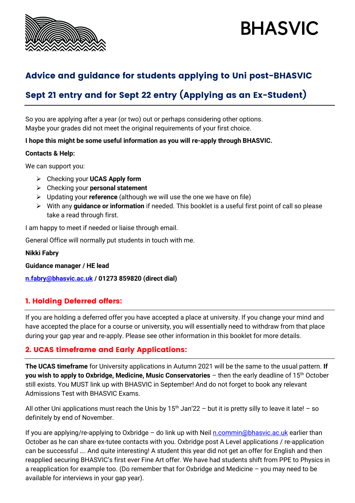

# **BHASVIC**

# Advice and guidance for students applying to Uni post-BHASVIC

# Sept 21 entry and for Sept 22 entry (Applying as an Ex-Student)

So you are applying after a year (or two) out or perhaps considering other options. Maybe your grades did not meet the original requirements of your first choice.

## **I hope this might be some useful information as you will re-apply through BHASVIC.**

### **Contacts & Help:**

We can support you:

- ➢ Checking your **UCAS Apply form**
- ➢ Checking your **personal statement**
- ➢ Updating your **reference** (although we will use the one we have on file)
- ➢ With any **guidance or information** if needed. This booklet is a useful first point of call so please take a read through first.

I am happy to meet if needed or liaise through email.

General Office will normally put students in touch with me.

### **Nikki Fabry**

**Guidance manager / HE lead**

**[n.fabry@bhasvic.ac.uk](mailto:n.fabry@bhasvic.ac.uk) / 01273 859820 (direct dial)**

# 1. Holding Deferred offers:

If you are holding a deferred offer you have accepted a place at university. If you change your mind and have accepted the place for a course or university, you will essentially need to withdraw from that place during your gap year and re-apply. Please see other information in this booklet for more details.

# 2. UCAS timeframe and Early Applications:

**The UCAS timeframe** for University applications in Autumn 2021 will be the same to the usual pattern. **If you wish to apply to Oxbridge, Medicine, Music Conservatories – then the early deadline of 15<sup>th</sup> October** still exists. You MUST link up with BHASVIC in September! And do not forget to book any relevant Admissions Test with BHASVIC Exams.

All other Uni applications must reach the Unis by  $15<sup>th</sup>$  Jan'22 – but it is pretty silly to leave it late! – so definitely by end of November.

If you are applying/re-applying to Oxbridge – do link up with Neil  $n$ .commin@bhasvic.ac.uk earlier than October as he can share ex-tutee contacts with you. Oxbridge post A Level applications / re-application can be successful …. And quite interesting! A student this year did not get an offer for English and then reapplied securing BHASVIC's first ever Fine Art offer. We have had students shift from PPE to Physics in a reapplication for example too. (Do remember that for Oxbridge and Medicine – you may need to be available for interviews in your gap year).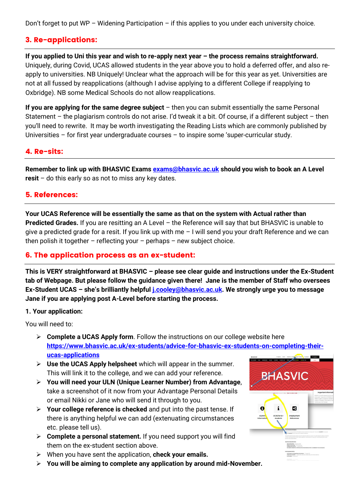Don't forget to put WP – Widening Participation – if this applies to you under each university choice.

# 3. Re-applications:

**If you applied to Uni this year and wish to re-apply next year – the process remains straightforward.** Uniquely, during Covid, UCAS allowed students in the year above you to hold a deferred offer, and also reapply to universities. NB Uniquely! Unclear what the approach will be for this year as yet. Universities are not at all fussed by reapplications (although I advise applying to a different College if reapplying to Oxbridge). NB some Medical Schools do not allow reapplications.

**If you are applying for the same degree subject** – then you can submit essentially the same Personal Statement – the plagiarism controls do not arise. I'd tweak it a bit. Of course, if a different subject – then you'll need to rewrite. It may be worth investigating the Reading Lists which are commonly published by Universities – for first year undergraduate courses – to inspire some 'super-curricular study.

#### 4. Re-sits:

Remember to link up with BHASVIC Exams **exams@bhasvic.ac.uk** should you wish to book an A Level **resit** – do this early so as not to miss any key dates.

#### 5. References:

**Your UCAS Reference will be essentially the same as that on the system with Actual rather than Predicted Grades.** If you are resitting an A Level – the Reference will say that but BHASVIC is unable to give a predicted grade for a resit. If you link up with me – I will send you your draft Reference and we can then polish it together – reflecting your – perhaps – new subject choice.

#### 6. The application process as an ex-student:

**This is VERY straightforward at BHASVIC – please see clear guide and instructions under the Ex-Student tab of Webpage. But please follow the guidance given there! Jane is the member of Staff who oversees Ex-Student UCAS – she's brilliantly helpful [j.cooley@bhasvic.ac.uk.](mailto:j.cooley@bhasvic.ac.uk) We strongly urge you to message Jane if you are applying post A-Level before starting the process.** 

#### **1. Your application:**

You will need to:

- ➢ **Complete a UCAS Apply form**. Follow the instructions on our college website here **[https://www.bhasvic.ac.uk/ex-students/advice-for-bhasvic-ex-students-on-completing-their](https://www.bhasvic.ac.uk/ex-students/advice-for-bhasvic-ex-students-on-completing-their-ucas-applications)[ucas-applications](https://www.bhasvic.ac.uk/ex-students/advice-for-bhasvic-ex-students-on-completing-their-ucas-applications)**
- ➢ **Use the UCAS Apply helpsheet** which will appear in the summer. This will link it to the college, and we can add your reference.
- ➢ **You will need your ULN (Unique Learner Number) from Advantage**, take a screenshot of it now from your Advantage Personal Details or email Nikki or Jane who will send it through to you.
- ➢ **Your college reference is checked** and put into the past tense. If there is anything helpful we can add (extenuating circumstances etc. please tell us).
- ➢ **Complete a personal statement.** If you need support you will find them on the ex-student section above.
- ➢ When you have sent the application, **check your emails.**
- ➢ **You will be aiming to complete any application by around mid-November.**

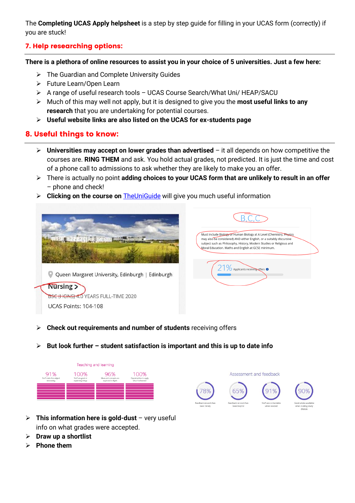The **Completing UCAS Apply helpsheet** is a step by step guide for filling in your UCAS form (correctly) if you are stuck!

# 7. Help researching options:

**There is a plethora of online resources to assist you in your choice of 5 universities. Just a few here:**

- ➢ The Guardian and Complete University Guides
- ➢ Future Learn/Open Learn
- ➢ A range of useful research tools UCAS Course Search/What Uni/ HEAP/SACU
- ➢ Much of this may well not apply, but it is designed to give you the **most useful links to any research** that you are undertaking for potential courses.
- ➢ **Useful website links are also listed on the UCAS for ex-students page**

# 8. Useful things to know:

- ➢ **Universities may accept on lower grades than advertised** it all depends on how competitive the courses are. **RING THEM** and ask. You hold actual grades, not predicted. It is just the time and cost of a phone call to admissions to ask whether they are likely to make you an offer.
- ➢ There is actually no point **adding choices to your UCAS form that are unlikely to result in an offer**  – phone and check!
- ➢ **Clicking on the course on** [TheUniGuide](https://www.theuniguide.co.uk/) will give you much useful information



➢ **Check out requirements and number of students** receiving offers

### ➢ **But look further – student satisfaction is important and this is up to date info**





- ➢ **This information here is gold-dust** very useful info on what grades were accepted.
- ➢ **Draw up a shortlist**
- ➢ **Phone them**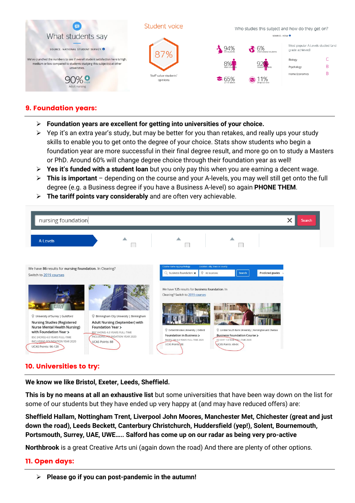

## 9. Foundation years:

- ➢ **Foundation years are excellent for getting into universities of your choice.**
- ➢ Yep it's an extra year's study, but may be better for you than retakes, and really ups your study skills to enable you to get onto the degree of your choice. Stats show students who begin a foundation year are more successful in their final degree result, and more go on to study a Masters or PhD. Around 60% will change degree choice through their foundation year as well!
- ➢ **Yes it's funded with a student loan** but you only pay this when you are earning a decent wage.
- ➢ **This is important** depending on the course and your A-levels, you may well still get onto the full degree (e.g. a Business degree if you have a Business A-level) so again **PHONE THEM**.
- ➢ **The tariff points vary considerably** and are often very achievable.

| nursing foundation                                                                                                                                                        |                                                                                                                                                                              |                                                                                     |                                                                                                   |                         | Search |
|---------------------------------------------------------------------------------------------------------------------------------------------------------------------------|------------------------------------------------------------------------------------------------------------------------------------------------------------------------------|-------------------------------------------------------------------------------------|---------------------------------------------------------------------------------------------------|-------------------------|--------|
| A-Levels                                                                                                                                                                  |                                                                                                                                                                              |                                                                                     |                                                                                                   |                         |        |
| We have 86 results for nursing foundation. In Clearing?<br>Switch to 2019 courses                                                                                         |                                                                                                                                                                              | Course name eg psychology<br>All locations<br>Q business foundation x               | Location: city, town or county<br>Search                                                          | <b>Predicted grades</b> |        |
|                                                                                                                                                                           |                                                                                                                                                                              | We have 125 results for business foundation. In<br>Clearing? Switch to 2019 courses |                                                                                                   |                         |        |
| University of Surrey   Guildford<br><b>Nursing Studies (Registered</b><br><b>Nurse Mental Health Nursing)</b><br>with Foundation Year ><br>BSC (HONS) 4.0 YEARS FULL-TIME | Birmingham City University   Birmingham<br>Adult Nursing (September) with<br><b>Foundation Year &gt;</b><br>BSC (HONS) 4.0 YEARS FULL-TIME<br>INCLUDING FOUNDATION YEAR 2020 | Oxford Brookes University   Oxford<br>Foundation in Business >                      | C London South Bank University   Kensington and Chelsea<br><b>Business Foundation Course &gt;</b> |                         |        |
| INCLUDING EQUINDATION YEAR 2020<br>UCAS Points: 96-120                                                                                                                    | <b>UCAS Points: 88</b>                                                                                                                                                       | BA/BSC (H) 4.0 YEARS FULL-TIME 2020<br><b>UCAS Points: 88</b>                       | FD CERT 1.0 YEAR FULL-TIME 2020<br>UCAS Points: 48-64                                             |                         |        |

# 10. Universities to try:

**We know we like Bristol, Exeter, Leeds, Sheffield.**

**This is by no means at all an exhaustive list** but some universities that have been way down on the list for some of our students but they have ended up very happy at (and may have reduced offers) are:

**Sheffield Hallam, Nottingham Trent, Liverpool John Moores, Manchester Met, Chichester (great and just down the road), Leeds Beckett, Canterbury Christchurch, Huddersfield (yep!), Solent, Bournemouth, Portsmouth, Surrey, UAE, UWE….. Salford has come up on our radar as being very pro-active**

**Northbrook** is a great Creative Arts uni (again down the road) And there are plenty of other options.

# 11. Open days:

➢ **Please go if you can post-pandemic in the autumn!**